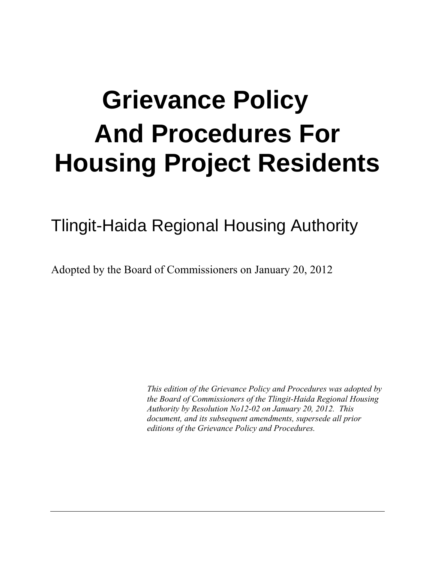# **Grievance Policy And Procedures For Housing Project Residents**

## Tlingit-Haida Regional Housing Authority

Adopted by the Board of Commissioners on January 20, 2012

*This edition of the Grievance Policy and Procedures was adopted by the Board of Commissioners of the Tlingit-Haida Regional Housing Authority by Resolution No12-02 on January 20, 2012. This document, and its subsequent amendments, supersede all prior editions of the Grievance Policy and Procedures.*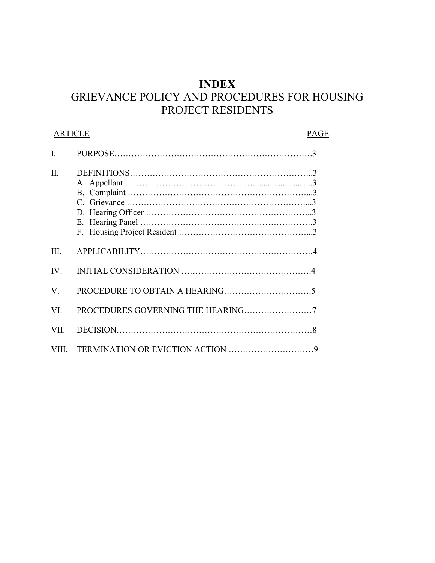### **INDEX** GRIEVANCE POLICY AND PROCEDURES FOR HOUSING PROJECT RESIDENTS

| <b>ARTICLE</b> |  | PAGE |
|----------------|--|------|
| $\overline{L}$ |  |      |
| II.            |  |      |
| III.           |  |      |
| $IV_{i}$       |  |      |
| V.             |  |      |
| VI.            |  |      |
| VII.           |  |      |
| VIII.          |  |      |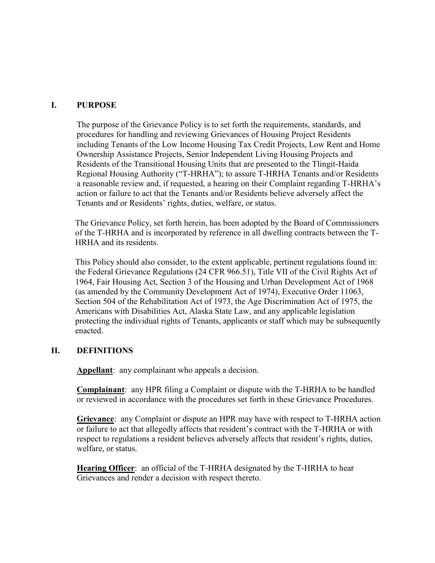#### **I. PURPOSE**

The purpose of the Grievance Policy is to set forth the requirements, standards, and procedures for handling and reviewing Grievances of Housing Project Residents including Tenants of the Low Income Housing Tax Credit Projects, Low Rent and Home Ownership Assistance Projects, Senior Independent Living Housing Projects and Residents of the Transitional Housing Units that are presented to the Tlingit-Haida Regional Housing Authority ("T-HRHA"); to assure T-HRHA Tenants and/or Residents a reasonable review and, if requested, a hearing on their Complaint regarding T-HRHA's action or failure to act that the Tenants and/or Residents believe adversely affect the Tenants and or Residents' rights, duties, welfare, or status.

The Grievance Policy, set forth herein, has been adopted by the Board of Commissioners of the T-HRHA and is incorporated by reference in all dwelling contracts between the T-HRHA and its residents.

This Policy should also consider, to the extent applicable, pertinent regulations found in: the Federal Grievance Regulations (24 CFR 966.51), Title VII of the Civil Rights Act of 1964, Fair Housing Act, Section 3 of the Housing and Urban Development Act of 1968 (as amended by the Community Development Act of 1974), Executive Order 11063, Section 504 of the Rehabilitation Act of 1973, the Age Discrimination Act of 1975, the Americans with Disabilities Act, Alaska State Law, and any applicable legislation protecting the individual rights of Tenants, applicants or staff which may be subsequently enacted.

#### **II. DEFINITIONS**

**Appellant**: any complainant who appeals a decision.

**Complainant**: any HPR filing a Complaint or dispute with the T-HRHA to be handled or reviewed in accordance with the procedures set forth in these Grievance Procedures.

**Grievance**: any Complaint or dispute an HPR may have with respect to T-HRHA action or failure to act that allegedly affects that resident's contract with the T-HRHA or with respect to regulations a resident believes adversely affects that resident's rights, duties, welfare, or status.

**Hearing Officer**: an official of the T-HRHA designated by the T-HRHA to hear Grievances and render a decision with respect thereto.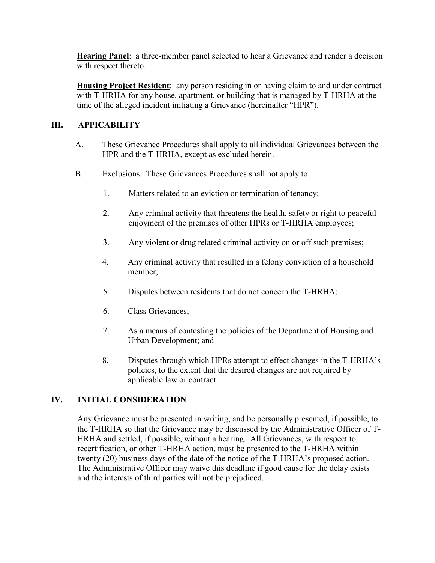**Hearing Panel**: a three-member panel selected to hear a Grievance and render a decision with respect thereto.

**Housing Project Resident**: any person residing in or having claim to and under contract with T-HRHA for any house, apartment, or building that is managed by T-HRHA at the time of the alleged incident initiating a Grievance (hereinafter "HPR").

#### **III. APPICABILITY**

- A. These Grievance Procedures shall apply to all individual Grievances between the HPR and the T-HRHA, except as excluded herein.
- B. Exclusions. These Grievances Procedures shall not apply to:
	- 1. Matters related to an eviction or termination of tenancy;
	- 2. Any criminal activity that threatens the health, safety or right to peaceful enjoyment of the premises of other HPRs or T-HRHA employees;
	- 3. Any violent or drug related criminal activity on or off such premises;
	- 4. Any criminal activity that resulted in a felony conviction of a household member;
	- 5. Disputes between residents that do not concern the T-HRHA;
	- 6. Class Grievances;
	- 7. As a means of contesting the policies of the Department of Housing and Urban Development; and
	- 8. Disputes through which HPRs attempt to effect changes in the T-HRHA's policies, to the extent that the desired changes are not required by applicable law or contract.

#### **IV. INITIAL CONSIDERATION**

Any Grievance must be presented in writing, and be personally presented, if possible, to the T-HRHA so that the Grievance may be discussed by the Administrative Officer of T-HRHA and settled, if possible, without a hearing. All Grievances, with respect to recertification, or other T-HRHA action, must be presented to the T-HRHA within twenty (20) business days of the date of the notice of the T-HRHA's proposed action. The Administrative Officer may waive this deadline if good cause for the delay exists and the interests of third parties will not be prejudiced.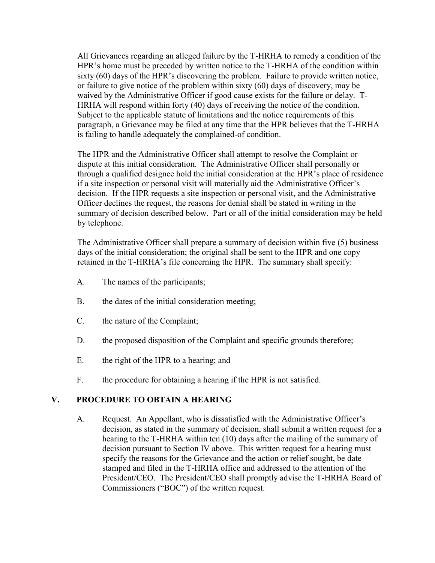All Grievances regarding an alleged failure by the T-HRHA to remedy a condition of the HPR's home must be preceded by written notice to the T-HRHA of the condition within sixty (60) days of the HPR's discovering the problem. Failure to provide written notice, or failure to give notice of the problem within sixty (60) days of discovery, may be waived by the Administrative Officer if good cause exists for the failure or delay. T-HRHA will respond within forty (40) days of receiving the notice of the condition. Subject to the applicable statute of limitations and the notice requirements of this paragraph, a Grievance may be filed at any time that the HPR believes that the T-HRHA is failing to handle adequately the complained-of condition.

The HPR and the Administrative Officer shall attempt to resolve the Complaint or dispute at this initial consideration. The Administrative Officer shall personally or through a qualified designee hold the initial consideration at the HPR's place of residence if a site inspection or personal visit will materially aid the Administrative Officer's decision. If the HPR requests a site inspection or personal visit, and the Administrative Officer declines the request, the reasons for denial shall be stated in writing in the summary of decision described below. Part or all of the initial consideration may be held by telephone.

The Administrative Officer shall prepare a summary of decision within five (5) business days of the initial consideration; the original shall be sent to the HPR and one copy retained in the T-HRHA's file concerning the HPR. The summary shall specify:

- A. The names of the participants;
- B. the dates of the initial consideration meeting;
- C. the nature of the Complaint;
- D. the proposed disposition of the Complaint and specific grounds therefore;
- E. the right of the HPR to a hearing; and
- F. the procedure for obtaining a hearing if the HPR is not satisfied.

#### **V. PROCEDURE TO OBTAIN A HEARING**

A. Request. An Appellant, who is dissatisfied with the Administrative Officer's decision, as stated in the summary of decision, shall submit a written request for a hearing to the T-HRHA within ten (10) days after the mailing of the summary of decision pursuant to Section IV above. This written request for a hearing must specify the reasons for the Grievance and the action or relief sought, be date stamped and filed in the T-HRHA office and addressed to the attention of the President/CEO. The President/CEO shall promptly advise the T-HRHA Board of Commissioners ("BOC") of the written request.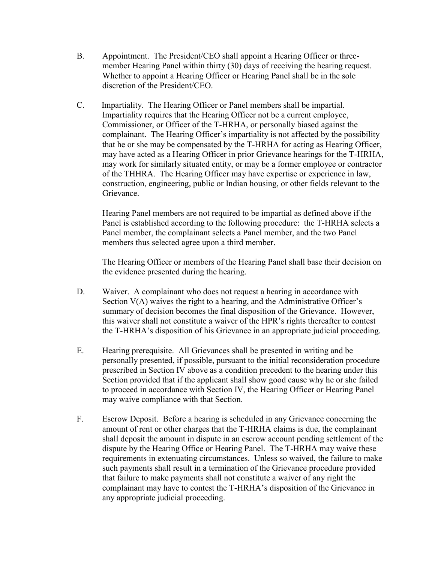- B. Appointment. The President/CEO shall appoint a Hearing Officer or threemember Hearing Panel within thirty (30) days of receiving the hearing request. Whether to appoint a Hearing Officer or Hearing Panel shall be in the sole discretion of the President/CEO.
- C. Impartiality. The Hearing Officer or Panel members shall be impartial. Impartiality requires that the Hearing Officer not be a current employee, Commissioner, or Officer of the T-HRHA, or personally biased against the complainant. The Hearing Officer's impartiality is not affected by the possibility that he or she may be compensated by the T-HRHA for acting as Hearing Officer, may have acted as a Hearing Officer in prior Grievance hearings for the T-HRHA, may work for similarly situated entity, or may be a former employee or contractor of the THHRA. The Hearing Officer may have expertise or experience in law, construction, engineering, public or Indian housing, or other fields relevant to the Grievance.

Hearing Panel members are not required to be impartial as defined above if the Panel is established according to the following procedure: the T-HRHA selects a Panel member, the complainant selects a Panel member, and the two Panel members thus selected agree upon a third member.

The Hearing Officer or members of the Hearing Panel shall base their decision on the evidence presented during the hearing.

- D. Waiver. A complainant who does not request a hearing in accordance with Section  $V(A)$  waives the right to a hearing, and the Administrative Officer's summary of decision becomes the final disposition of the Grievance. However, this waiver shall not constitute a waiver of the HPR's rights thereafter to contest the T-HRHA's disposition of his Grievance in an appropriate judicial proceeding.
- E. Hearing prerequisite. All Grievances shall be presented in writing and be personally presented, if possible, pursuant to the initial reconsideration procedure prescribed in Section IV above as a condition precedent to the hearing under this Section provided that if the applicant shall show good cause why he or she failed to proceed in accordance with Section IV, the Hearing Officer or Hearing Panel may waive compliance with that Section.
- F. Escrow Deposit. Before a hearing is scheduled in any Grievance concerning the amount of rent or other charges that the T-HRHA claims is due, the complainant shall deposit the amount in dispute in an escrow account pending settlement of the dispute by the Hearing Office or Hearing Panel. The T-HRHA may waive these requirements in extenuating circumstances. Unless so waived, the failure to make such payments shall result in a termination of the Grievance procedure provided that failure to make payments shall not constitute a waiver of any right the complainant may have to contest the T-HRHA's disposition of the Grievance in any appropriate judicial proceeding.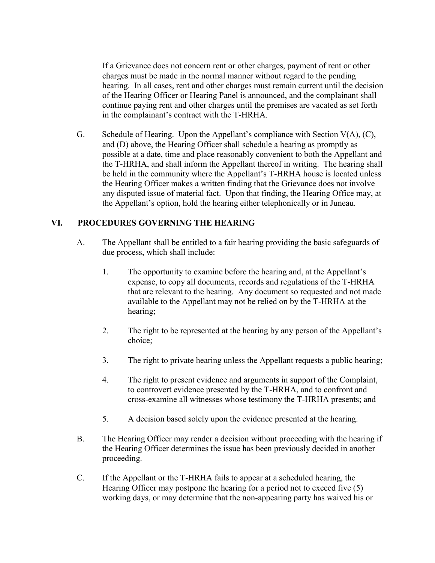If a Grievance does not concern rent or other charges, payment of rent or other charges must be made in the normal manner without regard to the pending hearing. In all cases, rent and other charges must remain current until the decision of the Hearing Officer or Hearing Panel is announced, and the complainant shall continue paying rent and other charges until the premises are vacated as set forth in the complainant's contract with the T-HRHA.

G. Schedule of Hearing. Upon the Appellant's compliance with Section  $V(A)$ ,  $(C)$ , and (D) above, the Hearing Officer shall schedule a hearing as promptly as possible at a date, time and place reasonably convenient to both the Appellant and the T-HRHA, and shall inform the Appellant thereof in writing. The hearing shall be held in the community where the Appellant's T-HRHA house is located unless the Hearing Officer makes a written finding that the Grievance does not involve any disputed issue of material fact. Upon that finding, the Hearing Office may, at the Appellant's option, hold the hearing either telephonically or in Juneau.

#### **VI. PROCEDURES GOVERNING THE HEARING**

- A. The Appellant shall be entitled to a fair hearing providing the basic safeguards of due process, which shall include:
	- 1. The opportunity to examine before the hearing and, at the Appellant's expense, to copy all documents, records and regulations of the T-HRHA that are relevant to the hearing. Any document so requested and not made available to the Appellant may not be relied on by the T-HRHA at the hearing;
	- 2. The right to be represented at the hearing by any person of the Appellant's choice;
	- 3. The right to private hearing unless the Appellant requests a public hearing;
	- 4. The right to present evidence and arguments in support of the Complaint, to controvert evidence presented by the T-HRHA, and to confront and cross-examine all witnesses whose testimony the T-HRHA presents; and
	- 5. A decision based solely upon the evidence presented at the hearing.
- B. The Hearing Officer may render a decision without proceeding with the hearing if the Hearing Officer determines the issue has been previously decided in another proceeding.
- C. If the Appellant or the T-HRHA fails to appear at a scheduled hearing, the Hearing Officer may postpone the hearing for a period not to exceed five (5) working days, or may determine that the non-appearing party has waived his or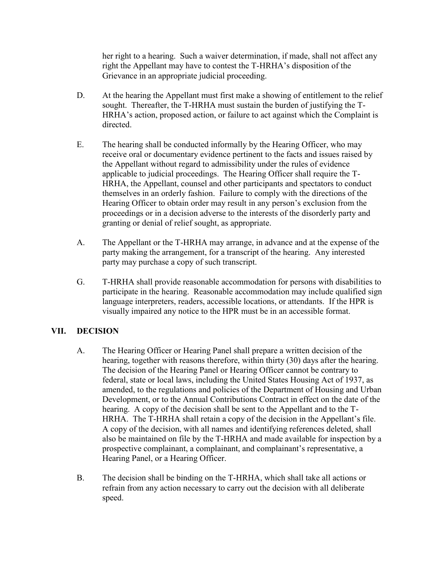her right to a hearing. Such a waiver determination, if made, shall not affect any right the Appellant may have to contest the T-HRHA's disposition of the Grievance in an appropriate judicial proceeding.

- D. At the hearing the Appellant must first make a showing of entitlement to the relief sought. Thereafter, the T-HRHA must sustain the burden of justifying the T-HRHA's action, proposed action, or failure to act against which the Complaint is directed.
- E. The hearing shall be conducted informally by the Hearing Officer, who may receive oral or documentary evidence pertinent to the facts and issues raised by the Appellant without regard to admissibility under the rules of evidence applicable to judicial proceedings. The Hearing Officer shall require the T-HRHA, the Appellant, counsel and other participants and spectators to conduct themselves in an orderly fashion. Failure to comply with the directions of the Hearing Officer to obtain order may result in any person's exclusion from the proceedings or in a decision adverse to the interests of the disorderly party and granting or denial of relief sought, as appropriate.
- A. The Appellant or the T-HRHA may arrange, in advance and at the expense of the party making the arrangement, for a transcript of the hearing. Any interested party may purchase a copy of such transcript.
- G. T-HRHA shall provide reasonable accommodation for persons with disabilities to participate in the hearing. Reasonable accommodation may include qualified sign language interpreters, readers, accessible locations, or attendants. If the HPR is visually impaired any notice to the HPR must be in an accessible format.

#### **VII. DECISION**

- A. The Hearing Officer or Hearing Panel shall prepare a written decision of the hearing, together with reasons therefore, within thirty (30) days after the hearing. The decision of the Hearing Panel or Hearing Officer cannot be contrary to federal, state or local laws, including the United States Housing Act of 1937, as amended, to the regulations and policies of the Department of Housing and Urban Development, or to the Annual Contributions Contract in effect on the date of the hearing. A copy of the decision shall be sent to the Appellant and to the T-HRHA. The T-HRHA shall retain a copy of the decision in the Appellant's file. A copy of the decision, with all names and identifying references deleted, shall also be maintained on file by the T-HRHA and made available for inspection by a prospective complainant, a complainant, and complainant's representative, a Hearing Panel, or a Hearing Officer.
- B. The decision shall be binding on the T-HRHA, which shall take all actions or refrain from any action necessary to carry out the decision with all deliberate speed.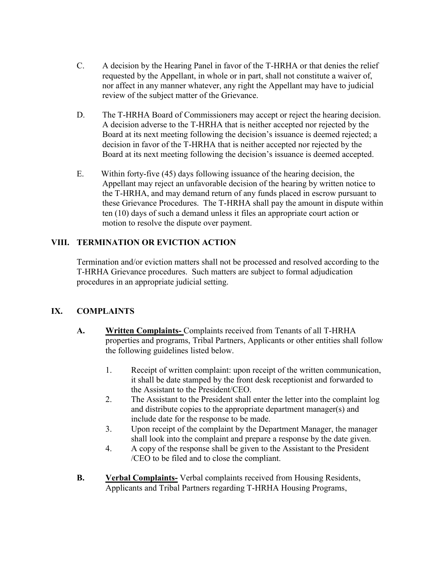- C. A decision by the Hearing Panel in favor of the T-HRHA or that denies the relief requested by the Appellant, in whole or in part, shall not constitute a waiver of, nor affect in any manner whatever, any right the Appellant may have to judicial review of the subject matter of the Grievance.
- D. The T-HRHA Board of Commissioners may accept or reject the hearing decision. A decision adverse to the T-HRHA that is neither accepted nor rejected by the Board at its next meeting following the decision's issuance is deemed rejected; a decision in favor of the T-HRHA that is neither accepted nor rejected by the Board at its next meeting following the decision's issuance is deemed accepted.
- E. Within forty-five (45) days following issuance of the hearing decision, the Appellant may reject an unfavorable decision of the hearing by written notice to the T-HRHA, and may demand return of any funds placed in escrow pursuant to these Grievance Procedures. The T-HRHA shall pay the amount in dispute within ten (10) days of such a demand unless it files an appropriate court action or motion to resolve the dispute over payment.

#### **VIII. TERMINATION OR EVICTION ACTION**

Termination and/or eviction matters shall not be processed and resolved according to the T-HRHA Grievance procedures. Such matters are subject to formal adjudication procedures in an appropriate judicial setting.

#### **IX. COMPLAINTS**

- **A. Written Complaints-** Complaints received from Tenants of all T-HRHA properties and programs, Tribal Partners, Applicants or other entities shall follow the following guidelines listed below.
	- 1. Receipt of written complaint: upon receipt of the written communication, it shall be date stamped by the front desk receptionist and forwarded to the Assistant to the President/CEO.
	- 2. The Assistant to the President shall enter the letter into the complaint log and distribute copies to the appropriate department manager(s) and include date for the response to be made.
	- 3. Upon receipt of the complaint by the Department Manager, the manager shall look into the complaint and prepare a response by the date given.
	- 4. A copy of the response shall be given to the Assistant to the President /CEO to be filed and to close the compliant.
- **B. Verbal Complaints-** Verbal complaints received from Housing Residents, Applicants and Tribal Partners regarding T-HRHA Housing Programs,